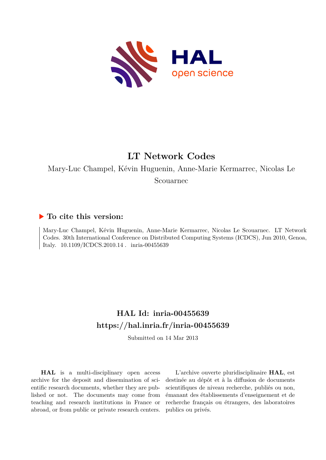

# **LT Network Codes**

Mary-Luc Champel, Kévin Huguenin, Anne-Marie Kermarrec, Nicolas Le Scouarnec

### **To cite this version:**

Mary-Luc Champel, Kévin Huguenin, Anne-Marie Kermarrec, Nicolas Le Scouarnec. LT Network Codes. 30th International Conference on Distributed Computing Systems (ICDCS), Jun 2010, Genoa, Italy.  $10.1109/$ ICDCS.2010.14 . inria-00455639

## **HAL Id: inria-00455639 <https://hal.inria.fr/inria-00455639>**

Submitted on 14 Mar 2013

**HAL** is a multi-disciplinary open access archive for the deposit and dissemination of scientific research documents, whether they are published or not. The documents may come from teaching and research institutions in France or abroad, or from public or private research centers.

L'archive ouverte pluridisciplinaire **HAL**, est destinée au dépôt et à la diffusion de documents scientifiques de niveau recherche, publiés ou non, émanant des établissements d'enseignement et de recherche français ou étrangers, des laboratoires publics ou privés.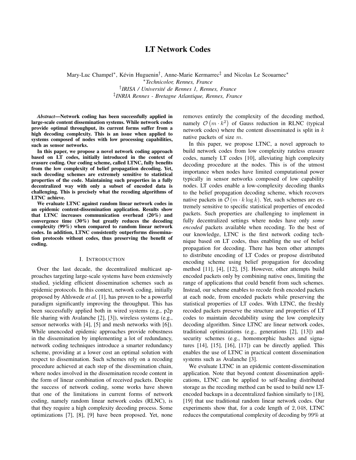### **LT Network Codes**

Mary-Luc Champel\*, Kévin Huguenin<sup>†</sup>, Anne-Marie Kermarrec<sup>‡</sup> and Nicolas Le Scouarnec\* <sup>∗</sup>*Technicolor, Rennes, France* † *IRISA / Universite de Rennes 1, Rennes, France ´* ‡ *INRIA Rennes - Bretagne Atlantique, Rennes, France*

*Abstract***—Network coding has been successfully applied in large-scale content dissemination systems. While network codes provide optimal throughput, its current forms suffer from a high decoding complexity. This is an issue when applied to systems composed of nodes with low processing capabilities, such as sensor networks.**

**In this paper, we propose a novel network coding approach based on LT codes, initially introduced in the context of erasure coding. Our coding scheme, called LTNC, fully benefits from the low complexity of belief propagation decoding. Yet, such decoding schemes are extremely sensitive to statistical properties of the code. Maintaining such properties in a fully decentralized way with only a subset of encoded data is challenging. This is precisely what the recoding algorithms of LTNC achieve.**

**We evaluate LTNC against random linear network codes in an epidemic content-dissemination application. Results show that LTNC increases communication overhead (20%) and convergence time (30%) but greatly reduces the decoding complexity (99%) when compared to random linear network codes. In addition, LTNC consistently outperforms dissemination protocols without codes, thus preserving the benefit of coding.**

#### I. INTRODUCTION

Over the last decade, the decentralized multicast approaches targeting large-scale systems have been extensively studied, yielding efficient dissemination schemes such as epidemic protocols. In this context, network coding, initially proposed by Ahlswede *et al.* [1], has proven to be a powerful paradigm significantly improving the throughput. This has been successfully applied both in wired systems (e.g., p2p file sharing with Avalanche [2], [3]), wireless systems (e.g., sensor networks with [4], [5] and mesh networks with [6]). While unencoded epidemic approaches provide robustness in the dissemination by implementing a lot of redundancy, network coding techniques introduce a smarter redundancy scheme, providing at a lower cost an optimal solution with respect to dissemination. Such schemes rely on a recoding procedure achieved at each step of the dissemination chain, where nodes involved in the dissemination recode content in the form of linear combination of received packets. Despite the success of network coding, some works have shown that one of the limitations in current forms of network coding, namely random linear network codes (RLNC), is that they require a high complexity decoding process. Some optimizations [7], [8], [9] have been proposed. Yet, none removes entirely the complexity of the decoding method, namely  $\mathcal{O}(m \cdot k^2)$  of Gauss reduction in RLNC (typical network codes) where the content disseminated is split in  $k$ native packets of size m.

In this paper, we propose LTNC, a novel approach to build network codes from low complexity rateless erasure codes, namely LT codes [10], alleviating high complexity decoding procedure at the nodes. This is of the utmost importance when nodes have limited computational power typically in sensor networks composed of low capability nodes. LT codes enable a low-complexity decoding thanks to the belief propagation decoding scheme, which recovers native packets in  $\mathcal{O}(m \cdot k \log k)$ . Yet, such schemes are extremely sensitive to specific statistical properties of encoded packets. Such properties are challenging to implement in fully decentralized settings where nodes have only *some encoded* packets available when recoding. To the best of our knowledge, LTNC is the first network coding technique based on LT codes, thus enabling the use of belief propagation for decoding. There has been other attempts to distribute encoding of LT Codes or propose distributed encoding scheme using belief propagation for decoding method [11], [4], [12], [5]. However, other attempts build encoded packets only by combining native ones, limiting the range of applications that could benefit from such schemes. Instead, our scheme enables to recode fresh encoded packets at each node, from encoded packets while preserving the statistical properties of LT codes. With LTNC, the freshly recoded packets preserve the structure and properties of LT codes to maintain decodability using the low complexity decoding algorithm. Since LTNC are linear network codes, traditional optimizations (e.g., generations [2], [13]) and security schemes (e.g., homomorphic hashes and signatures [14], [15], [16], [17]) can be directly applied. This enables the use of LTNC in practical content dissemination systems such as Avalanche [3].

We evaluate LTNC in an epidemic content-dissemination application. Note that beyond content dissemination applications, LTNC can be applied to self-healing distributed storage as the recoding method can be used to build new LTencoded backups in a decentralized fashion similarly to [18], [19] that use traditional random linear network codes. Our experiments show that, for a code length of 2, 048, LTNC reduces the computational complexity of decoding by 99% at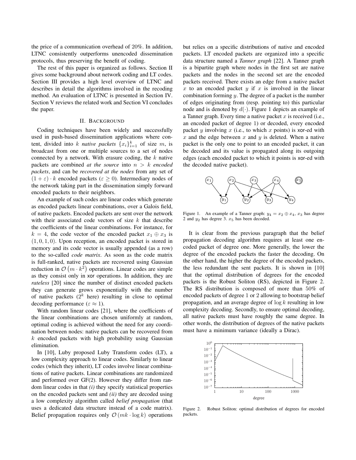the price of a communication overhead of 20%. In addition, LTNC consistently outperforms unencoded dissemination protocols, thus preserving the benefit of coding.

The rest of this paper is organized as follows. Section II gives some background about network coding and LT codes. Section III provides a high level overview of LTNC and describes in detail the algorithms involved in the recoding method. An evaluation of LTNC is presented in Section IV. Section V reviews the related work and Section VI concludes the paper.

#### II. BACKGROUND

Coding techniques have been widely and successfully used in push-based dissemination applications where content, divided into k *native packets*  $\{x_i\}_{i=1}^k$  of size m, is broadcast from one or multiple sources to a set of nodes connected by a network. With erasure coding, the  $k$  native packets are combined *at the source* into n > k *encoded packets*, and can be *recovered at the nodes* from any set of  $(1 + \varepsilon) \cdot k$  encoded packets  $(\varepsilon \ge 0)$ . Intermediary nodes of the network taking part in the dissemination simply forward encoded packets to their neighbors.

An example of such codes are linear codes which generate as encoded packets linear combinations, over a Galois field, of native packets. Encoded packets are sent over the network with their associated code vectors of size  $k$  that describe the coefficients of the linear combinations. For instance, for k = 4, the code vector of the encoded packet  $x_1 \oplus x_3$  is  $(1, 0, 1, 0)$ . Upon reception, an encoded packet is stored in memory and its code vector is usually appended (as a row) to the so-called *code matrix*. As soon as the code matrix is full-ranked, native packets are recovered using Gaussian reduction in  $\mathcal{O}(m \cdot k^2)$  operations. Linear codes are simple as they consist only in xor operations. In addition, they are *rateless* [20] since the number of distinct encoded packets they can generate grows exponentially with the number of native packets  $(2^k$  here) resulting in close to optimal decoding performance ( $\varepsilon \approx 1$ ).

With random linear codes [21], where the coefficients of the linear combinations are chosen uniformly at random, optimal coding is achieved without the need for any coordination between nodes: native packets can be recovered from  $k$  encoded packets with high probability using Gaussian elimination.

In [10], Luby proposed Luby Transform codes (LT), a low complexity approach to linear codes. Similarly to linear codes (which they inherit), LT codes involve linear combinations of native packets. Linear combinations are randomized and performed over GF(2). However they differ from random linear codes in that *(i)* they specify statistical properties on the encoded packets sent and *(ii)* they are decoded using a low complexity algorithm called *belief propagation* (that uses a dedicated data structure instead of a code matrix). Belief propagation requires only  $\mathcal{O}(mk \cdot \log k)$  operations but relies on a specific distributions of native and encoded packets. LT encoded packets are organized into a specific data structure named a *Tanner graph* [22]. A Tanner graph is a bipartite graph where nodes in the first set are native packets and the nodes in the second set are the encoded packets received. There exists an edge from a native packet x to an encoded packet y if x is involved in the linear combination forming  $y$ . The degree of a packet is the number of edges originating from (resp. pointing to) this particular node and is denoted by  $d(\cdot)$ . Figure 1 depicts an example of a Tanner graph. Every time a native packet x is received (i.e., an encoded packet of degree 1) or decoded, every encoded packet y involving x (i.e., to which x points) is xor-ed with  $x$  and the edge between  $x$  and  $y$  is deleted. When a native packet is the only one to point to an encoded packet, it can be decoded and its value is propagated along its outgoing edges (each encoded packet to which it points is xor-ed with the decoded native packet).



Figure 1. An example of a Tanner graph:  $y_4 = x_2 \oplus x_4$ ,  $x_3$  has degree 2 and  $y_2$  has degree 3.  $x_5$  has been decoded.

It is clear from the previous paragraph that the belief propagation decoding algorithm requires at least one encoded packet of degree one. More generally, the lower the degree of the encoded packets the faster the decoding. On the other hand, the higher the degree of the encoded packets, the less redundant the sent packets. It is shown in [10] that the optimal distribution of degrees for the encoded packets is the Robust Soliton (RS), depicted in Figure 2. The RS distribution is composed of more than 50% of encoded packets of degree 1 or 2 allowing to bootstrap belief propagation, and an average degree of  $\log k$  resulting in low complexity decoding. Secondly, to ensure optimal decoding, all native packets must have roughly the same degree. In other words, the distribution of degrees of the native packets must have a minimum variance (ideally a Dirac).



Figure 2. Robust Soliton: optimal distribution of degrees for encoded packets.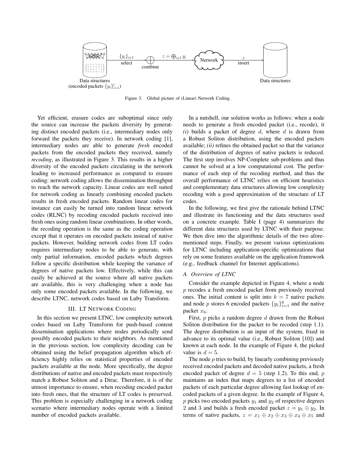

Figure 3. Global picture of (Linear) Network Coding.

Yet efficient, erasure codes are suboptimal since only the source can increase the packets diversity by generating distinct encoded packets (i.e., intermediary nodes only forward the packets they receive). In network coding [1], intermediary nodes are able to generate *fresh* encoded packets from the encoded packets they received, namely *recoding*, as illustrated in Figure 3. This results in a higher diversity of the encoded packets circulating in the network leading to increased performance as compared to erasure coding: network coding allows the dissemination throughput to reach the network capacity. Linear codes are well suited for network coding as linearly combining encoded packets results in fresh encoded packets. Random linear codes for instance can easily be turned into random linear network codes (RLNC) by recoding encoded packets received into fresh ones using random linear combinations. In other words, the recoding operation is the same as the coding operation except that it operates on encoded packets instead of native packets. However, building network codes from LT codes requires intermediary nodes to be able to generate, with only partial information, encoded packets which degrees follow a specific distribution while keeping the variance of degrees of native packets low. Effectively, while this can easily be achieved at the source where all native packets are available, this is very challenging when a node has only some encoded packets available. In the following, we describe LTNC, network codes based on Luby Transform.

#### III. LT NETWORK CODING

In this section we present LTNC, low complexity network codes based on Luby Transform for push-based content dissemination applications where nodes periodically send possibly encoded packets to their neighbors. As mentioned in the previous section, low complexity decoding can be obtained using the belief propagation algorithm which efficiency highly relies on statistical properties of encoded packets available at the node. More specifically, the degree distributions of native and encoded packets must respectively match a Robust Soliton and a Dirac. Therefore, it is of the utmost importance to ensure, when recoding encoded packet into fresh ones, that the structure of LT codes is preserved. This problem is especially challenging in a network coding scenario where intermediary nodes operate with a limited number of encoded packets available.

In a nutshell, our solution works as follows: when a node needs to generate a fresh encoded packet (i.e., recode), it  $(i)$  builds a packet of degree  $d$ , where  $d$  is drawn from a Robust Soliton distribution, using the encoded packets available; *(ii)* refines the obtained packet so that the variance of the distribution of degrees of native packets is reduced. The first step involves NP-Complete sub-problems and thus cannot be solved at a low computational cost. The performance of each step of the recoding method, and thus the overall performance of LTNC relies on efficient heuristics and complementary data structures allowing low complexity recoding with a good approximation of the structure of LT codes.

In the following, we first give the rationale behind LTNC and illustrate its functioning and the data structures used on a concrete example. Table I (page 4) summarizes the different data structures used by LTNC with their purpose. We then dive into the algorithmic details of the two aforementioned steps. Finally, we present various optimizations for LTNC including application-specific optimizations that rely on some features available on the application framework (e.g., feedback channel for Internet applications).

#### *A. Overview of LTNC*

Consider the example depicted in Figure 4, where a node p recodes a fresh encoded packet from previously received ones. The initial content is split into  $k = 7$  native packets and node p stores 6 encoded packets  $\{y_i\}_{i=1}^6$  and the native packet  $x_6$ .

First,  $p$  picks a random degree  $d$  drawn from the Robust Soliton distribution for the packet to be recoded (step 1.1). The degree distribution is an input of the system, fixed in advance to its optimal value (i.e., Robust Soliton [10]) and known at each node. In the example of Figure 4, the picked value is  $d = 5$ .

The node  $p$  tries to build, by linearly combining previously received encoded packets and decoded native packets, a fresh encoded packet of degree  $d = 5$  (step 1.2). To this end, p maintains an index that maps degrees to a list of encoded packets of each particular degree allowing fast lookup of encoded packets of a given degree. In the example of Figure 4,  $p$  picks two encoded packets  $y_1$  and  $y_2$  of respective degrees 2 and 3 and builds a fresh encoded packet  $z = y_1 \oplus y_2$ . In terms of native packets,  $z = x_1 \oplus x_2 \oplus x_3 \oplus x_4 \oplus x_5$  and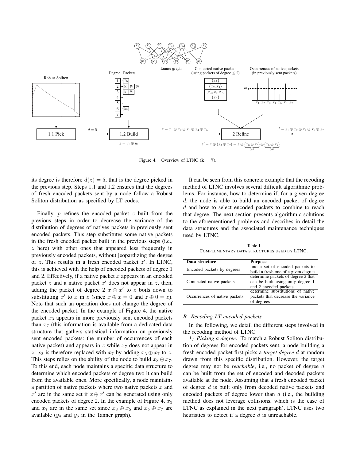

Figure 4. Overview of LTNC  $(k = 7)$ .

its degree is therefore  $d(z) = 5$ , that is the degree picked in the previous step. Steps 1.1 and 1.2 ensures that the degrees of fresh encoded packets sent by a node follow a Robust Soliton distribution as specified by LT codes.

Finally,  $p$  refines the encoded packet  $z$  built from the previous steps in order to decrease the variance of the distribution of degrees of natives packets in previously sent encoded packets. This step substitutes some native packets in the fresh encoded packet built in the previous steps (i.e.,  $z$  here) with other ones that appeared less frequently in previously encoded packets, without jeopardizing the degree of  $z$ . This results in a fresh encoded packet  $z'$ . In LTNC, this is achieved with the help of encoded packets of degree 1 and 2. Effectively, if a native packet  $x$  appears in an encoded packet z and a native packet  $x'$  does not appear in z, then, adding the packet of degree 2  $x \oplus x'$  to z boils down to substituting x' to x in z (since  $x \oplus x = 0$  and  $z \oplus 0 = z$ ). Note that such an operation does not change the degree of the encoded packet. In the example of Figure 4, the native packet  $x_3$  appears in more previously sent encoded packets than  $x_7$  (this information is available from a dedicated data structure that gathers statistical information on previously sent encoded packets: the number of occurrences of each native packet) and appears in  $z$  while  $x<sub>7</sub>$  does not appear in z.  $x_3$  is therefore replaced with  $x_7$  by adding  $x_3 \oplus x_7$  to z. This steps relies on the ability of the node to build  $x_3 \oplus x_7$ . To this end, each node maintains a specific data structure to determine which encoded packets of degree two it can build from the available ones. More specifically, a node maintains a partition of native packets where two native packets  $x$  and  $x'$  are in the same set if  $x \oplus x'$  can be generated using only encoded packets of degree 2. In the example of Figure 4,  $x_3$ and  $x_7$  are in the same set since  $x_3 \oplus x_5$  and  $x_5 \oplus x_7$  are available  $(y_4$  and  $y_6$  in the Tanner graph).

It can be seen from this concrete example that the recoding method of LTNC involves several difficult algorithmic problems. For instance, how to determine if, for a given degree d, the node is able to build an encoded packet of degree d and how to select encoded packets to combine to reach that degree. The next section presents algorithmic solutions to the aforementioned problems and describes in detail the data structures and the associated maintenance techniques used by LTNC.

Table I COMPLEMENTARY DATA STRUCTURES USED BY LTNC.

| Data structure                | <b>Purpose</b>                      |
|-------------------------------|-------------------------------------|
| Encoded packets by degrees    | find a set of encoded packets to    |
|                               | build a fresh one of a given degree |
|                               | determine packets of degree 2 that  |
| Connected native packets      | can be built using only degree 1    |
|                               | and 2 encoded packets               |
|                               | determine substitutions of native   |
| Occurrences of native packets | packets that decrease the variance  |
|                               | of degrees                          |

#### *B. Recoding LT encoded packets*

In the following, we detail the different steps involved in the recoding method of LTNC.

*1) Picking a degree:* To match a Robust Soliton distribution of degrees for encoded packets sent, a node building a fresh encoded packet first picks a *target degree* d at random drawn from this specific distribution. However, the target degree may not be *reachable*, i.e., no packet of degree d can be built from the set of encoded and decoded packets available at the node. Assuming that a fresh encoded packet of degree d is built only from decoded native packets and encoded packets of degree lower than  $d$  (i.e., the building method does not leverage collisions, which is the case of LTNC as explained in the next paragraph), LTNC uses two heuristics to detect if a degree  $d$  is unreachable.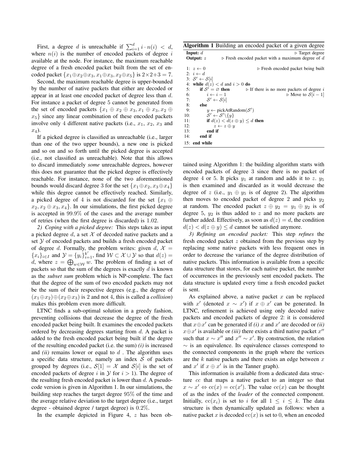First, a degree d is unreachable if  $\sum_{i=1}^{d} i \cdot n(i) < d$ , where  $n(i)$  is the number of encoded packets of degree i available at the node. For instance, the maximum reachable degree of a fresh encoded packet built from the set of encoded packet  $\{x_1 \oplus x_2 \oplus x_3, x_1 \oplus x_3, x_2 \oplus x_5\}$  is  $2 \times 2 + 3 = 7$ .

Second, the maximum reachable degree is upper-bounded by the number of native packets that either are decoded or appear in at least one encoded packet of degree less than d. For instance a packet of degree 5 cannot be generated from the set of encoded packets  $\{x_1 \oplus x_2 \oplus x_3, x_1 \oplus x_3, x_2 \oplus x_4\}$  $x_5$ } since any linear combination of these encoded packets involve only 4 different native packets (i.e.,  $x_1, x_2, x_3$  and  $x_4$ ).

If a picked degree is classified as unreachable (i.e., larger than one of the two upper bounds), a new one is picked and so on and so forth until the picked degree is accepted (i.e., not classified as unreachable). Note that this allows to discard immediately *some* unreachable degrees, however this does not guarantee that the picked degree is effectively reachable. For instance, none of the two aforementioned bounds would discard degree 3 for the set  $\{x_1 \oplus x_2, x_3 \oplus x_4\}$ while this degree cannot be effectively reached. Similarly, a picked degree of 4 is not discarded for the set  $\{x_1 \oplus$  $x_2, x_2 \oplus x_3, x_4$ . In our simulations, the first picked degree is accepted in 99.9% of the cases and the average number of retries (when the first degree is discarded) is 1.02.

*2) Coping with a picked degree:* This steps takes as input a picked degree d, a set  $\mathcal X$  of decoded native packets and a set Y of encoded packets and builds a fresh encoded packet of degree d. Formally, the problem writes: given  $d, \mathcal{X} =$  ${x_i}_{i \in I}$  and  $\mathcal{Y} = {y_i}_{i=1}^{k'}$ , find  $\mathcal{W} \subset \mathcal{X} \cup \mathcal{Y}$  so that  $d(z) =$ d, where  $z = \bigoplus_{w \in \mathcal{W}} w$ . The problem of finding a set of packets so that the sum of the degrees is exactly  $d$  is known as the *subset sum* problem which is NP-complete. The fact that the degree of the sum of two encoded packets may not be the sum of their respective degrees (e.g., the degree of  $(x_1 \oplus x_2) \oplus (x_2 \oplus x_3)$  is 2 and not 4, this is called a *collision*) makes this problem even more difficult.

LTNC finds a sub-optimal solution in a greedy fashion, preventing collisions that decrease the degree of the fresh encoded packet being built. It examines the encoded packets ordered by decreasing degrees starting from d. A packet is added to the fresh encoded packet being built if the degree of the resulting encoded packet (i.e. the sum) *(i)* is increased and  $(ii)$  remains lower or equal to  $d$ . The algorithm uses a specific data structure, namely an index  $S$  of packets grouped by degrees (i.e.,  $\mathcal{S}[1] = \mathcal{X}$  and  $\mathcal{S}[i]$  is the set of encoded packets of degree i in  $\mathcal Y$  for  $i > 1$ ). The degree of the resulting fresh encoded packet is lower than  $d$ . A pseudocode version is given in Algorithm 1. In our simulations, the building step reaches the target degree 95% of the time and the average relative deviation to the target degree (i.e., target degree - obtained degree / target degree) is 0.2%.

In the example depicted in Figure 4,  $z$  has been ob-

**Algorithm 1** Building an encoded packet of a given degree **Input:** *d* ⊳ Target degree

|     | Output: $z$                        | $\triangleright$ Fresh encoded packet with a maximum degree of d |
|-----|------------------------------------|------------------------------------------------------------------|
|     | 1: $z \leftarrow 0$                | $\triangleright$ Fresh encoded packet being built                |
|     | 2: $i \leftarrow d$                |                                                                  |
|     | 3: $S' \leftarrow S[i]$            |                                                                  |
|     | 4: while $d(z) < d$ and $i > 0$ do |                                                                  |
|     | 5: if $S' = \emptyset$ then        | $\triangleright$ If there is no more packets of degree i         |
|     | 6:<br>$i \leftarrow i-1$           | $\triangleright$ Move to $S[i-1]$                                |
| 7:  | $S' \leftarrow S[i]$               |                                                                  |
| 8:  | else                               |                                                                  |
| 9:  |                                    | $y \leftarrow \text{pickAtRandom}(\mathcal{S}')$                 |
| 10: | $S' \leftarrow S' \setminus \{y\}$ |                                                                  |
| 11: |                                    | if $d(z) < d(z \oplus y) \leq d$ then                            |
| 12: |                                    | $z \leftarrow z \oplus y$                                        |
| 13: | end if                             |                                                                  |
| 14: | end if                             |                                                                  |
|     | 15: end while                      |                                                                  |
|     |                                    |                                                                  |

tained using Algorithm 1: the building algorithm starts with encoded packets of degree 3 since there is no packet of degree 4 or 5. It picks  $y_1$  at random and adds it to z.  $y_5$ is then examined and discarded as it would decrease the degree of z (i.e.,  $y_1 \oplus y_5$  is of degree 2). The algorithm then moves to encoded packet of degree 2 and picks  $y_2$ at random. The encoded packet  $z \oplus y_2 = y_1 \oplus y_2$  is of degree 5,  $y_2$  is thus added to z and no more packets are further added. Effectively, as soon as  $d(z) = d$ , the condition  $d(z) < d(z \oplus y) \leq d$  cannot be satisfied anymore.

*3) Refining an encoded packet:* This step *refines* the fresh encoded packet z obtained from the previous step by replacing some native packets with less frequent ones in order to decrease the variance of the degree distribution of native packets. This information is available from a specific data structure that stores, for each native packet, the number of occurrences in the previously sent encoded packets. The data structure is updated every time a fresh encoded packet is sent.

As explained above, a native packet  $x$  can be replaced with x' (denoted  $x \sim x'$ ) if  $x \oplus x'$  can be generated. In LTNC, refinement is achieved using only decoded native packets and encoded packets of degree 2: it is considered that  $x \oplus x'$  can be generated if *(i)* x and  $x'$  are decoded or *(ii)*  $x \oplus x'$  is available or *(iii)* there exists a third native packet  $x''$ such that  $x \sim x''$  and  $x'' \sim x'$ . By construction, the relation ∼ is an equivalence. Its equivalence classes correspond to the connected components in the graph where the vertices are the  $k$  native packets and there exists an edge between  $x$ and  $x'$  if  $x \oplus x'$  is in the Tanner graph).

This information is available from a dedicated data structure cc that maps a native packet to an integer so that  $x \sim x' \Leftrightarrow cc(x) = cc(x')$ . The value  $cc(x)$  can be thought of as the index of the *leader* of the connected component. Initially,  $\operatorname{cc}(x_i)$  is set to i for all  $1 \leq i \leq k$ . The data structure is then dynamically updated as follows: when a native packet x is decoded  $cc(x)$  is set to 0, when an encoded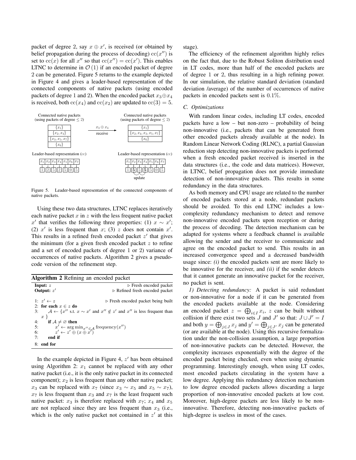packet of degree 2, say  $x \oplus x'$ , is received (or obtained by belief propagation during the process of decoding)  $cc(x'')$  is set to  $cc(x)$  for all x'' so that  $cc(x'') = cc(x')$ . This enables LTNC to determine in  $\mathcal{O}(1)$  if an encoded packet of degree 2 can be generated. Figure 5 returns to the example depicted in Figure 4 and gives a leader-based representation of the connected components of native packets (using encoded packets of degree 1 and 2). When the encoded packet  $x_3 \oplus x_4$ is received, both  $cc(x_4)$  and  $cc(x_2)$  are updated to  $cc(3) = 5$ .



Figure 5. Leader-based representation of the connected components of native packets.

Using these two data structures, LTNC replaces iteratively each native packet  $x$  in  $z$  with the less frequent native packet x' that verifies the following three properties: (1)  $x \sim x'$ ; (2)  $x'$  is less frequent than x; (3) z does not contain x'. This results in a refined fresh encoded packet  $z'$  that gives the minimum (for a given fresh encoded packet  $z$  to refine and a set of encoded packets of degree 1 or 2) variance of occurrences of native packets. Algorithm 2 gives a pseudocode version of the refinement step.

| <b>Algorithm 2</b> Refining an encoded packet                                                                                                  |                                                                                                                                                                                                                                                                                                                                                                                                                                                                                                                                                                                                                                                                                                                                                           |  |  |  |
|------------------------------------------------------------------------------------------------------------------------------------------------|-----------------------------------------------------------------------------------------------------------------------------------------------------------------------------------------------------------------------------------------------------------------------------------------------------------------------------------------------------------------------------------------------------------------------------------------------------------------------------------------------------------------------------------------------------------------------------------------------------------------------------------------------------------------------------------------------------------------------------------------------------------|--|--|--|
| Input: $z$                                                                                                                                     | $\triangleright$ Fresh encoded packet                                                                                                                                                                                                                                                                                                                                                                                                                                                                                                                                                                                                                                                                                                                     |  |  |  |
| Output: $z'$                                                                                                                                   | $\triangleright$ Refined fresh encoded packet                                                                                                                                                                                                                                                                                                                                                                                                                                                                                                                                                                                                                                                                                                             |  |  |  |
| $1: z' \leftarrow z$                                                                                                                           | $\triangleright$ Fresh encoded packet being built                                                                                                                                                                                                                                                                                                                                                                                                                                                                                                                                                                                                                                                                                                         |  |  |  |
| 2: for each $x \in z$ do                                                                                                                       |                                                                                                                                                                                                                                                                                                                                                                                                                                                                                                                                                                                                                                                                                                                                                           |  |  |  |
|                                                                                                                                                | 3: $A \leftarrow \{x'' \text{ s.t. } x \sim x' \text{ and } x'' \notin z' \text{ and } x'' \text{ is less frequent than } x'' \text{ is less frequent than } x'' \text{ is less frequent than } x'' \text{ is less frequent than } x'' \text{ is less frequent than } x'' \text{ is less frequent than } x'' \text{ is less frequent than } x'' \text{ is less frequent than } x'' \text{ is less different than } x'' \text{ is less different than } x'' \text{ is less different than } x'' \text{ is less different than } x'' \text{ is less different than } x'' \text{ is less different than } x'' \text{ is less different than } x'' \text{ is less different than } x'' \text{ is less different than } x'' \text{ is less different than } x$ |  |  |  |
| $x \nvert$                                                                                                                                     |                                                                                                                                                                                                                                                                                                                                                                                                                                                                                                                                                                                                                                                                                                                                                           |  |  |  |
|                                                                                                                                                |                                                                                                                                                                                                                                                                                                                                                                                                                                                                                                                                                                                                                                                                                                                                                           |  |  |  |
|                                                                                                                                                | $x' \leftarrow \arg\min_{x'' \in \mathcal{A}} \text{frequency}(x'')$                                                                                                                                                                                                                                                                                                                                                                                                                                                                                                                                                                                                                                                                                      |  |  |  |
| 4: <b>if</b> $A \neq \emptyset$ then<br>5: $x' \leftarrow \arg m$<br>6: $z' \leftarrow z' \oplus 0$<br>$z' \leftarrow z' \oplus (x \oplus x')$ |                                                                                                                                                                                                                                                                                                                                                                                                                                                                                                                                                                                                                                                                                                                                                           |  |  |  |
| 7:<br>end if                                                                                                                                   |                                                                                                                                                                                                                                                                                                                                                                                                                                                                                                                                                                                                                                                                                                                                                           |  |  |  |
| 8: end for                                                                                                                                     |                                                                                                                                                                                                                                                                                                                                                                                                                                                                                                                                                                                                                                                                                                                                                           |  |  |  |

In the example depicted in Figure 4,  $z'$  has been obtained using Algorithm 2:  $x_1$  cannot be replaced with any other native packet (i.e., it is the only native packet in its connected component);  $x_2$  is less frequent than any other native packet;  $x_3$  can be replaced with  $x_7$  (since  $x_3 \sim x_5$  and  $x_5 \sim x_7$ ),  $x_7$  is less frequent than  $x_3$  and  $x_7$  is the least frequent such native packet:  $x_3$  is therefore replaced with  $x_7$ ;  $x_4$  and  $x_5$ are not replaced since they are less frequent than  $x_3$  (i.e., which is the only native packet not contained in  $z'$  at this

stage).

The efficiency of the refinement algorithm highly relies on the fact that, due to the Robust Soliton distribution used in LT codes, more than half of the encoded packets are of degree 1 or 2, thus resulting in a high refining power. In our simulation, the relative standard deviation (standard deviation /average) of the number of occurrences of native packets in encoded packets sent is 0.1%.

#### *C. Optimizations*

With random linear codes, including LT codes, encoded packets have a low – but non-zero – probability of being non-innovative (i.e., packets that can be generated from other encoded packets already available at the node). In Random Linear Network Coding (RLNC), a partial Gaussian reduction step detecting non-innovative packets is performed when a fresh encoded packet received is inserted in the data structures (i.e., the code and data matrices). However, in LTNC, belief propagation does not provide immediate detection of non-innovative packets. This results in some redundancy in the data structures.

As both memory and CPU usage are related to the number of encoded packets stored at a node, redundant packets should be avoided. To this end LTNC includes a lowcomplexity redundancy mechanism to detect and remove non-innovative encoded packets upon reception or during the process of decoding. The detection mechanism can be adapted for systems where a feedback channel is available allowing the sender and the receiver to communicate and agree on the encoded packet to send. This results in an increased convergence speed and a decreased bandwidth usage since: *(i)* the encoded packets sent are more likely to be innovative for the receiver, and *(ii)* if the sender detects that it cannot generate an innovative packet for the receiver, no packet is sent.

*1) Detecting redundancy:* A packet is said redundant or non-innovative for a node if it can be generated from the encoded packets available at the node. Considering an encoded packet  $z = \bigoplus_{i \in I} x_i$ , z can be built without collision if there exist two sets J and J' so that:  $J \cup J' = I$ and both  $y = \bigoplus_{j \in J} x_j$  and  $y' = \bigoplus_{j \in J'} x_j$  can be generated (or are available at the node). Using this recursive formalization under the non-collision assumption, a large proportion of non-innovative packets can be detected. However, the complexity increases exponentially with the degree of the encoded packet being checked, even when using dynamic programming. Interestingly enough, when using LT codes, most encoded packets circulating in the system have a low degree. Applying this redundancy detection mechanism to low degree encoded packets allows discarding a large proportion of non-innovative encoded packets at low cost. Moreover, high-degree packets are less likely to be noninnovative. Therefore, detecting non-innovative packets of high-degree is useless in most of the cases.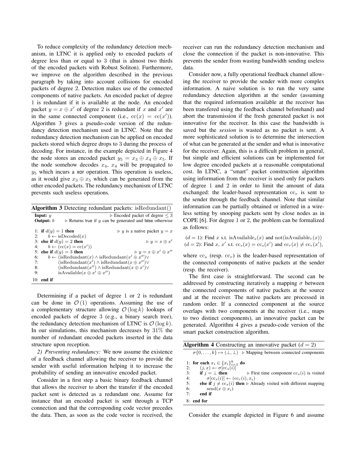To reduce complexity of the redundancy detection mechanism, in LTNC it is applied only to encoded packets of degree less than or equal to 3 (that is almost two thirds of the encoded packets with Robust Soliton). Furthermore, we improve on the algorithm described in the previous paragraph by taking into account collisions for encoded packets of degree 2. Detection makes use of the connected components of native packets. An encoded packet of degree 1 is redundant if it is available at the node. An encoded packet  $y = x \oplus x'$  of degree 2 is redundant if x and x' are in the same connected component (i.e.,  $cc(x) = cc(x')$ ). Algorithm 3 gives a pseudo-code version of the redundancy detection mechanism used in LTNC. Note that the redundancy detection mechanism can be applied on encoded packets stored which degree drops to 3 during the process of decoding. For instance, in the example depicted in Figure 4 the node stores an encoded packet  $y_5 = x_3 \oplus x_4 \oplus x_5$ . If the node somehow decodes  $x_4$ ,  $x_4$  will be propagated to  $y_5$  which incurs a xor operation. This operation is useless, as it would give  $x_3 \oplus x_5$  which can be generated from the other encoded packets. The redundancy mechanism of LTNC prevents such useless operations.

|     |                       |                                        | <b>Algorithm 3</b> Detecting redundant packets: is Redundant()              |
|-----|-----------------------|----------------------------------------|-----------------------------------------------------------------------------|
|     | Input: $\eta$         |                                        | $\triangleright$ Encoded packet of degree $\leq$ 3                          |
|     | Output: $b$           |                                        | $\triangleright$ Returns true if y can be generated and false otherwise     |
|     | 1: if $d(y) = 1$ then |                                        | $\triangleright$ y is a native packet $y = x$                               |
|     |                       | 2: $b \leftarrow \text{isDecoded}(x)$  |                                                                             |
|     |                       | 3: else if $d(y) = 2$ then             | $\triangleright u = x \oplus x'$                                            |
| 4:  |                       | $b \leftarrow (cc(x) = cc(x'))$        |                                                                             |
|     |                       | 5: else if $d(y) = 3$ then             | $\triangleright$ $y = x \oplus x' \oplus x''$                               |
| 6:  |                       |                                        | $b \leftarrow$ (isRedundant $(x) \wedge$ isRedundant $(x' \oplus x'') \vee$ |
| 7:  |                       |                                        | $(isRedundant(x') \wedge isRedundant(x \oplus x'') \vee$                    |
| 8:  |                       |                                        | $( \text{isRedundant}(x'') \wedge \text{isRedundant}(x \oplus x') \vee$     |
| 9:  |                       | isAvailable $(x \oplus x' \oplus x'')$ |                                                                             |
| 10: | end if                |                                        |                                                                             |

Determining if a packet of degree 1 or 2 is redundant can be done in  $\mathcal{O}(1)$  operations. Assuming the use of a complementary structure allowing  $\mathcal{O}(\log k)$  lookups of encoded packets of degree 3 (e.g., a binary search tree), the redundancy detection mechanism of LTNC is  $\mathcal{O}(\log k)$ . In our simulations, this mechanism decreases by 31% the number of redundant encoded packets inserted in the data structure upon reception.

*2) Preventing redundancy:* We now assume the existence of a feedback channel allowing the receiver to provide the sender with useful information helping it to increase the probability of sending an innovative encoded packet.

Consider in a first step a basic binary feedback channel that allows the receiver to abort the transfer if the encoded packet sent is detected as a redundant one. Assume for instance that an encoded packet is sent through a TCP connection and that the corresponding code vector precedes the data. Then, as soon as the code vector is received, the receiver can run the redundancy detection mechanism and close the connection if the packet is non-innovative. This prevents the sender from wasting bandwidth sending useless data.

Consider now, a fully operational feedback channel allowing the receiver to provide the sender with more complex information. A naive solution is to run the very same redundancy detection algorithm at the sender (assuming that the required information available at the receiver has been transfered using the feedback channel beforehand) and abort the transmission if the fresh generated packet is not innovative for the receiver. In this case the bandwidth is saved but the *session* is wasted as no packet is sent. A more sophisticated solution is to determine the intersection of what can be generated at the sender and what is innovative for the receiver. Again, this is a difficult problem in general, but simple and efficient solutions can be implemented for low degree encoded packets at a reasonable computational cost. In LTNC, a "smart" packet construction algorithm using information from the receiver is used only for packets of degree 1 and 2 in order to limit the amount of data exchanged: the leader-based representation  $cc<sub>r</sub>$  is sent to the sender through the feedback channel. Note that similar information can be partially obtained or inferred in a wireless setting by snooping packets sent by close nodes as in COPE [6]. For degree 1 or 2, the problem can be formalized as follows:

 $(d = 1)$ : Find x s.t. isAvailable<sub>s</sub> $(x)$  and not(isAvailable<sub>r</sub> $(x)$ )  $(d = 2)$ : Find x, x' s.t.  $cc_s(x) = cc_s(x')$  and  $cc_r(x) \neq cc_r(x')$ ,

where  $cc_s$  (resp.  $cc_r$ ) is the leader-based representation of the connected components of native packets at the sender (resp. the receiver).

The first case is straightforward. The second can be addressed by constructing iteratively a mapping  $\sigma$  between the connected components of native packets at the source and at the receiver. The native packets are processed in random order. If a connected component at the source overlaps with two components at the receiver (i.e., maps to two distinct components), an innovative packet can be generated. Algorithm 4 gives a pseudo-code version of the smart packet construction algorithm.

| <b>Algorithm 4</b> Constructing an innovative packet $(d = 2)$                                     |  |  |  |
|----------------------------------------------------------------------------------------------------|--|--|--|
| $\sigma\{0,\ldots,k\} \mapsto (\perp,\perp)$ $\triangleright$ Mapping between connected components |  |  |  |
| 1: for each $x_i \in \{x_i\}_{i=1}^k$ do                                                           |  |  |  |
| $(i, x) \leftarrow \sigma[\mathrm{cc}_s(i)]$<br>2:                                                 |  |  |  |
| 3:<br>if $i = \perp$ then<br>$\triangleright$ First time component $cc_s(i)$ is visited            |  |  |  |
| 4:<br>$\sigma[\mathrm{cc}_s(i)] \leftarrow (\mathrm{cc}_r(i), x_i)$                                |  |  |  |
| 5:<br>else if $j \neq c c_s(i)$ then $\triangleright$ Already visited with different mapping       |  |  |  |
| 6:<br>$\text{send}(x \oplus x_i)$                                                                  |  |  |  |
| 7:<br>end if                                                                                       |  |  |  |
| 8: end for                                                                                         |  |  |  |

Consider the example depicted in Figure 6 and assume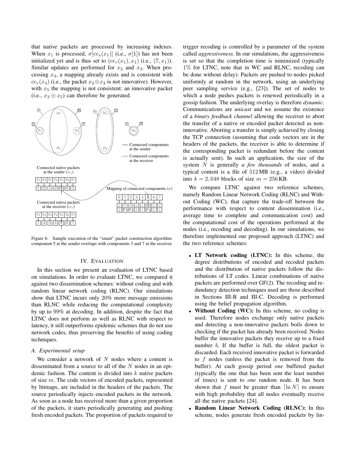that native packets are processed by increasing indexes. When  $x_1$  is processed,  $\sigma[\ncsc_s(x_1)]$  (i.e.,  $\sigma[1]$ ) has not been initialized yet and is thus set to  $(cc_r(x_1), x_1)$  (i.e.,  $(7, x_1)$ ). Similar updates are performed for  $x_2$  and  $x_3$ . When processing  $x_4$ , a mapping already exists and is consistent with  $cc_r(x_4)$  (i.e., the packet  $x_2 \oplus x_4$  is not innovative). However, with  $x<sub>5</sub>$  the mapping is not consistent: an innovative packet (i.e.,  $x_3 \oplus x_5$ ) can therefore be generated.



Figure 6. Sample execution of the "smart" packet construction algorithm: component 5 at the sender overlaps with components 3 and 7 at the receiver.

#### IV. EVALUATION

In this section we present an evaluation of LTNC based on simulations. In order to evaluate LTNC, we compared it against two dissemination schemes: without coding and with random linear network coding (RLNC). Our simulations show that LTNC incurs only 20% more message emissions than RLNC while reducing the computational complexity by up to 99% at decoding. In addition, despite the fact that LTNC does not perform as well as RLNC with respect to latency, it still outperforms epidemic schemes that do not use network codes, thus preserving the benefits of using coding techniques.

#### *A. Experimental setup*

We consider a network of  $N$  nodes where a content is disseminated from a source to all of the  $N$  nodes in an epidemic fashion. The content is divided into  $k$  native packets of size m. The code vectors of encoded packets, represented by bitmaps, are included in the headers of the packets. The source periodically injects encoded packets in the network. As soon as a node has received more than a given proportion of the packets, it starts periodically generating and pushing fresh encoded packets. The proportion of packets required to trigger recoding is controlled by a parameter of the system called *aggressiveness*. In our simulations, the aggressiveness is set so that the completion time is minimized (typically 1% for LTNC, note that in WC and RLNC, recoding can be done without delay). Packets are pushed to nodes picked uniformly at random in the network, using an underlying peer sampling service (e.g., [23]). The set of nodes to which a node pushes packets is renewed periodically in a gossip fashion. The underlying overlay is therefore *dynamic*. Communications are *unicast* and we assume the existence of a *binary feedback channel* allowing the receiver to abort the transfer of a native or encoded packet detected as noninnovative. Aborting a transfer is simply achieved by closing the TCP connection (assuming that code vectors are in the headers of the packets, the receiver is able to determine if the corresponding packet is redundant before the content is actually sent). In such an application, the size of the system N is generally *a few thousands* of nodes, and a typical content is a file of 512 MB (e.g., a video) divided into  $k = 2,048$  blocks of size  $m = 256$  KB.

We compare LTNC against two reference schemes, namely Random Linear Network Coding (RLNC) and Without Coding (WC), that capture the trade-off between the performance with respect to content dissemination (i.e., average time to complete and communication cost) and the computational cost of the operations performed at the nodes (i.e., recoding and decoding). In our simulations, we therefore implemented our proposed approach (LTNC) and the two reference schemes:

- **LT Network coding (LTNC):** In this scheme, the degree distributions of encoded and recoded packets and the distribution of native packets follow the distributions of LT codes. Linear combinations of native packets are performed over GF(2). The recoding and redundancy detection techniques used are those described in Sections III-B and III-C. Decoding is performed using the belief propagation algorithm.
- **Without Coding (WC):** In this scheme, no coding is used. Therefore nodes exchange only native packets and detecting a non-innovative packets boils down to checking if the packet has already been received. Nodes buffer the innovative packets they receive up to a fixed number b. If the buffer is full, the oldest packet is discarded. Each received innovative packet is forwarded to  $f$  nodes (unless the packet is removed from the buffer). At each gossip period *one* buffered packet (typically the one that has been sent the least number of times) is sent to *one* random node. It has been shown that f must be greater than  $\lceil \ln N \rceil$  to ensure with high probability that all nodes eventually receive all the native packets [24].
- **Random Linear Network Coding (RLNC):** In this scheme, nodes generate fresh encoded packets by lin-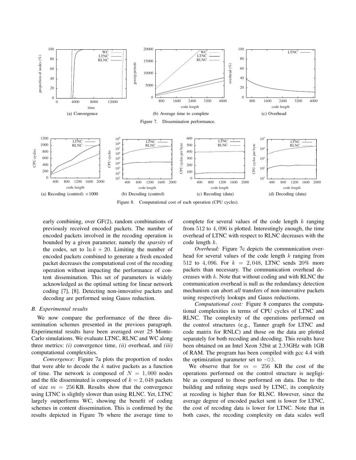

early combining, over GF(2), random combinations of previously received encoded packets. The number of encoded packets involved in the recoding operation is bounded by a given parameter, namely the *sparsity* of the codes, set to  $\ln k + 20$ . Limiting the number of encoded packets combined to generate a fresh encoded packet decreases the computational cost of the recoding operation without impacting the performance of content dissemination. This set of parameters is widely acknowledged as the optimal setting for linear network coding [7], [8]. Detecting non-innovative packets and decoding are performed using Gauss reduction.

#### *B. Experimental results*

We now compare the performance of the three dissemination schemes presented in the previous paragraph. Experimental results have been averaged over 25 Monte-Carlo simulations. We evaluate LTNC, RLNC and WC along three metrics: *(i)* convergence time, *(ii)* overhead, and *(iii)* computational complexities.

*Convergence:* Figure 7a plots the proportion of nodes that were able to decode the  $k$  native packets as a function of time. The network is composed of  $N = 1,000$  nodes and the file disseminated is composed of  $k = 2,048$  packets of size  $m = 256$  KB. Results show that the convergence using LTNC is slightly slower than using RLNC. Yet, LTNC largely outperforms WC, showing the benefit of coding schemes in content dissemination. This is confirmed by the results depicted in Figure 7b where the average time to complete for several values of the code length  $k$  ranging from 512 to 4, 096 is plotted. Interestingly enough, the time overhead of LTNC with respect to RLNC decreases with the code length k.

*Overhead:* Figure 7c depicts the communication overhead for several values of the code length  $k$  ranging from 512 to 4,096. For  $k = 2,048$ , LTNC sends 20% more packets than necessary. The communication overhead decreases with k. Note that without coding and with RLNC the communication overhead is null as the redundancy detection mechanism can abort *all* transfers of non-innovative packets using respectively lookups and Gauss reductions.

*Computational cost:* Figure 8 compares the computational complexities in terms of CPU cycles of LTNC and RLNC. The complexity of the operations performed on the control structures (e.g., Tanner graph for LTNC and code matrix for RNLC) and those on the data are plotted separately for both recoding and decoding. This results have been obtained on an Intel Xeon 32bit at 2.33GHz with 1GB of RAM. The program has been compiled with gcc 4.4 with the optimization parameter set to  $-03$ .

We observe that for  $m = 256$  KB the cost of the operations performed on the control structure is negligible as compared to those performed on data. Due to the building and refining steps used by LTNC, its complexity at recoding is higher than for RLNC. However, since the average degree of encoded packet sent is lower for LTNC, the cost of recoding data is lower for LTNC. Note that in both cases, the recoding complexity on data scales well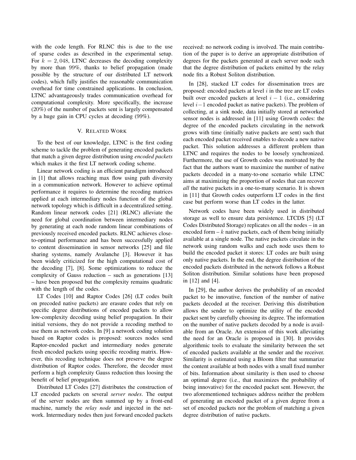with the code length. For RLNC this is due to the use of sparse codes as described in the experimental setup. For  $k = 2,048$ , LTNC decreases the decoding complexity by more than 99%, thanks to belief propagation (made possible by the structure of our distributed LT network codes), which fully justifies the reasonable communication overhead for time constrained applications. In conclusion, LTNC advantageously trades communication overhead for computational complexity. More specifically, the increase (20%) of the number of packets sent is largely compensated by a huge gain in CPU cycles at decoding (99%).

#### V. RELATED WORK

To the best of our knowledge, LTNC is the first coding scheme to tackle the problem of generating encoded packets that match a given degree distribution using *encoded packets* which makes it the first LT network coding scheme.

Linear network coding is an efficient paradigm introduced in [1] that allows reaching max flow using path diversity in a communication network. However to achieve optimal performance it requires to determine the recoding matrices applied at each intermediary nodes function of the global network topology which is difficult in a decentralized setting. Random linear network codes [21] (RLNC) alleviate the need for global coordination between intermediary nodes by generating at each node random linear combinations of previously received encoded packets. RLNC achieves closeto-optimal performance and has been successfully applied to content dissemination in sensor networks [25] and file sharing systems, namely Avalanche [3]. However it has been widely criticized for the high computational cost of the decoding [7], [8]. Some optimizations to reduce the complexity of Gauss reduction – such as generations [13] – have been proposed but the complexity remains quadratic with the length of the codes.

LT Codes [10] and Raptor Codes [26] (LT codes built on precoded native packets) are erasure codes that rely on specific degree distributions of encoded packets to allow low-complexity decoding using belief propagation. In their initial versions, they do not provide a recoding method to use them as network codes. In [9] a network coding solution based on Raptor codes is proposed: sources nodes send Raptor-encoded packet and intermediary nodes generate fresh encoded packets using specific recoding matrix. However, this recoding technique does not preserve the degree distribution of Raptor codes. Therefore, the decoder must perform a high complexity Gauss reduction thus loosing the benefit of belief propagation.

Distributed LT Codes [27] distributes the construction of LT encoded packets on several *server nodes*. The output of the server nodes are then summed up by a front-end machine, namely the *relay node* and injected in the network. Intermediary nodes then just forward encoded packets received: no network coding is involved. The main contribution of the paper is to derive an appropriate distribution of degrees for the packets generated at each server node such that the degree distribution of packets emitted by the relay node fits a Robust Soliton distribution.

In [28], stacked LT codes for dissemination trees are proposed: encoded packets at level  $i$  in the tree are LT codes built over encoded packets at level  $i - 1$  (i.e., considering level i−1 encoded packet as native packets). The problem of collecting, at a sink node, data initially stored at networked sensor nodes is addressed in [11] using Growth codes: the degree of the encoded packets circulating in the network grows with time (initially native packets are sent) such that each encoded packet received enables to decode a new native packet. This solution addresses a different problem than LTNC and requires the nodes to be loosely synchronized. Furthermore, the use of Growth codes was motivated by the fact that the authors want to maximize the number of native packets decoded in a many-to-one scenario while LTNC aims at maximizing the proportion of nodes that can recover *all* the native packets in a one-to-many scenario. It is shown in [11] that Growth codes outperform LT codes in the first case but perform worse than LT codes in the latter.

Network codes have been widely used in distributed storage as well to ensure data persistence. LTCDS [5] (LT Codes Distributed Storage) replicates on all the nodes – in an encoded form  $-k$  native packets, each of them being initially available at a single node. The native packets circulate in the network using random walks and each node uses them to build the encoded packet it stores: LT codes are built using only native packets. In the end, the degree distribution of the encoded packets distributed in the network follows a Robust Soliton distribution. Similar solutions have been proposed in [12] and [4].

In [29], the author derives the probability of an encoded packet to be innovative, function of the number of native packets decoded at the receiver. Deriving this distribution allows the sender to optimize the utility of the encoded packet sent by carefully choosing its degree. The information on the number of native packets decoded by a node is available from an Oracle. An extension of this work alleviating the need for an Oracle is proposed in [30]. It provides algorithmic tools to evaluate the similarity between the set of encoded packets available at the sender and the receiver. Similarity is estimated using a Bloom filter that summarize the content available at both nodes with a small fixed number of bits. Information about similarity is then used to choose an optimal degree (i.e., that maximizes the probability of being innovative) for the encoded packet sent. However, the two aforementioned techniques address neither the problem of generating an encoded packet of a given degree from a set of encoded packets nor the problem of matching a given degree distribution of native packets.